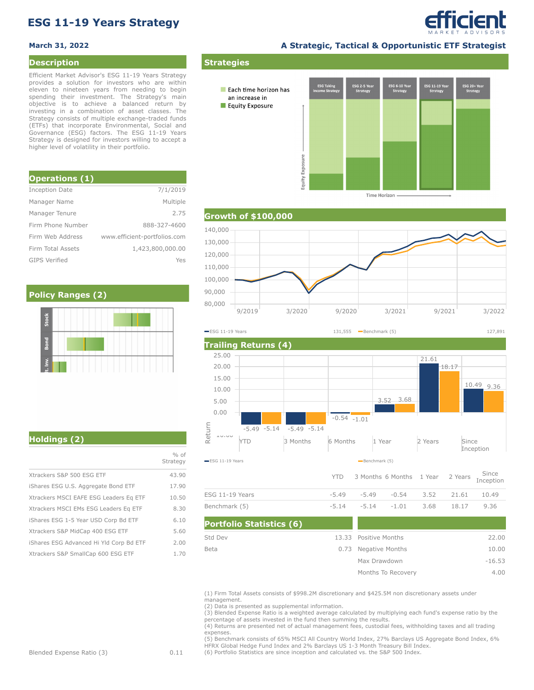# **ESG 11-19 Years Strategy**

#### **Description**

Efficient Market Advisor's ESG 11-19 Years Strategy provides a solution for investors who are within eleven to nineteen years from needing to begin spending their investment. The Strategy's main objective is to achieve a balanced return by investing in a combination of asset classes. The Strategy consists of multiple exchange-traded funds (ETFs) that incorporate Environmental, Social and Governance (ESG) factors. The ESG 11-19 Years Strategy is designed for investors willing to accept a higher level of volatility in their portfolio.

| <b>Operations (1)</b> |                              |
|-----------------------|------------------------------|
| <b>Inception Date</b> | 7/1/2019                     |
| Manager Name          | Multiple                     |
| Manager Tenure        | 2.75                         |
| Firm Phone Number     | 888-327-4600                 |
| Firm Web Address      | www.efficient-portfolios.com |
| Firm Total Assets     | 1,423,800,000.00             |
| <b>GIPS Verified</b>  | Yes                          |

### **Policy Ranges (2)**

**March 31, 2022 A Strategic, Tactical & Opportunistic ETF Strategist**

efficient

SG 11-19 Ye ESG 20+ Ye<br>Strategy Each time horizon has an increase in Equity Exposure Equity Exposure

**Time Horizon** 

## **Growth of \$100,000**

**Strategies**



 $YTD = 3$  Months 6 Months 1 Year 2 Years Since **Trailing Returns (4)** YTD 3 Months 6 Months 1 Year 2 Years Since Inception  $-L$ 0.00 5.00 10.00 15.00 20.00 25.00 -5.49 -5.49 -5.14 -5.14  $-0.54 -1.01$ 3.52 3.68 21.61 10.49 9.36 18.17 ESSE 10.00 FOR 1988 1000 FOR 1989 11.19 Year<br>
ESG 11-19 Years Benchmark (5) **ESG 11-19 Years** 131,555 **Benchmark (5)** 131,555 **Benchmark (5)** 127,891

|                 | $\frac{1}{2}$ The contribution is the control of the control of the control of $\frac{1}{2}$ and $\frac{1}{2}$ and $\frac{1}{2}$ and $\frac{1}{2}$ and $\frac{1}{2}$ and $\frac{1}{2}$ and $\frac{1}{2}$ and $\frac{1}{2}$ and $\frac{1}{2}$ and $\frac{1}{2}$ and $\frac{1}{$ |  |      |
|-----------------|--------------------------------------------------------------------------------------------------------------------------------------------------------------------------------------------------------------------------------------------------------------------------------|--|------|
| ESG 11-19 Years | $-5.49$ $-5.49$ $-0.54$ $3.52$ $21.61$ $10.49$                                                                                                                                                                                                                                 |  |      |
| Benchmark (5)   | $-5.14$ $-5.14$ $-1.01$ $3.68$ $18.17$                                                                                                                                                                                                                                         |  | 9.36 |

| <b>Portfolio Statistics (6)</b> |                       |          |
|---------------------------------|-----------------------|----------|
| Std Dev                         | 13.33 Positive Months | 22.00    |
| Beta                            | 0.73 Negative Months  | 10.00    |
|                                 | Max Drawdown          | $-16.53$ |
|                                 | Months To Recovery    | 4.00     |

(1) Firm Total Assets consists of \$998.2M discretionary and \$425.5M non discretionary assets under management.

(2) Data is presented as supplemental information.

(3) Blended Expense Ratio is a weighted average calculated by multiplying each fund's expense ratio by the percentage of assets invested in the fund then summing the results.

(4) Returns are presented net of actual management fees, custodial fees, withholding taxes and all trading expenses.

(5) Benchmark consists of 65% MSCI All Country World Index, 27% Barclays US Aggregate Bond Index, 6% HFRX Global Hedge Fund Index and 2% Barclays US 1-3 Month Treasury Bill Index.

(6) Portfolio Statistics are since inception and calculated vs. the S&P 500 Index.

**Holdings (2)**

|                                         | $%$ of<br>Strategy |
|-----------------------------------------|--------------------|
| Xtrackers S&P 500 ESG ETF               | 43.90              |
| iShares ESG U.S. Aggregate Bond ETF     | 17.90              |
| Xtrackers MSCI EAFE ESG Leaders Eq ETF  | 10.50              |
| Xtrackers MSCI EMs ESG Leaders Eq ETF   | 8.30               |
| iShares ESG 1-5 Year USD Corp Bd ETF    | 6.10               |
| Xtrackers S&P MidCap 400 ESG ETF        | 5.60               |
| iShares ESG Advanced Hi Yld Corp Bd ETF | 2.00               |
| Xtrackers S&P SmallCap 600 ESG ETF      | 1.70               |
|                                         |                    |